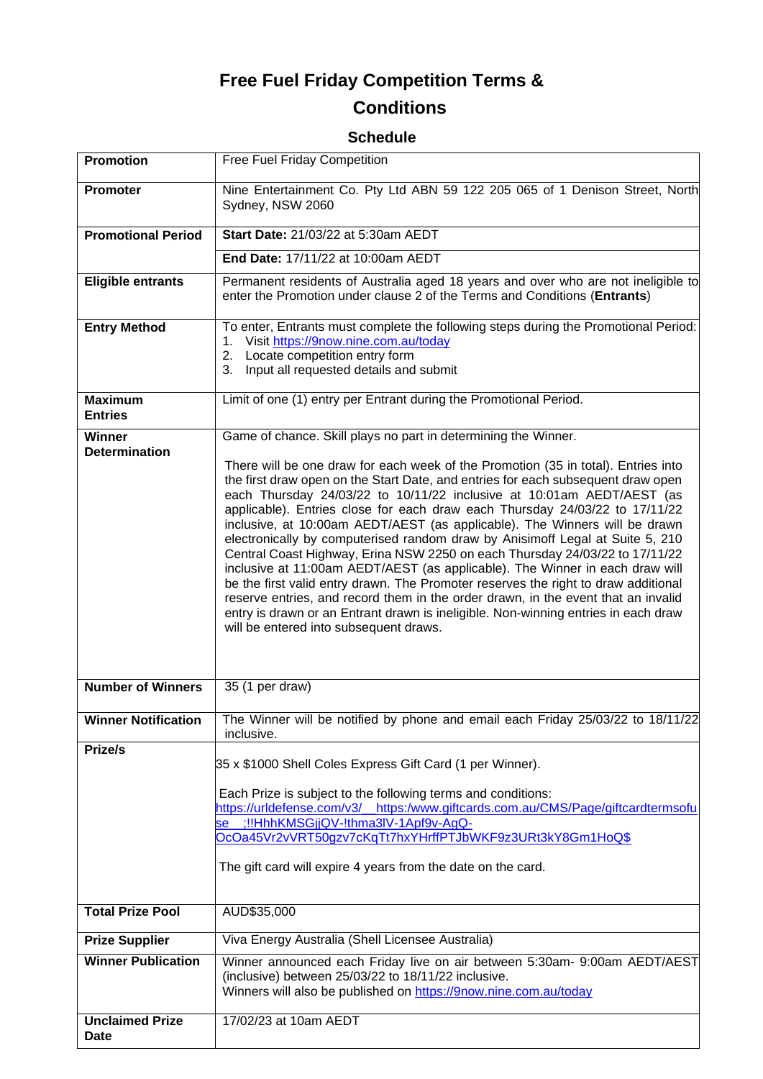# **Free Fuel Friday Competition Terms &**

# **Conditions**

## **Schedule**

| <b>Promotion</b>                      | <b>Free Fuel Friday Competition</b>                                                                                                                                                                                                                                                                                                                                                                                                                                                                                                                                                                                                                                                                                                                                                                                                                                                                                                                                    |
|---------------------------------------|------------------------------------------------------------------------------------------------------------------------------------------------------------------------------------------------------------------------------------------------------------------------------------------------------------------------------------------------------------------------------------------------------------------------------------------------------------------------------------------------------------------------------------------------------------------------------------------------------------------------------------------------------------------------------------------------------------------------------------------------------------------------------------------------------------------------------------------------------------------------------------------------------------------------------------------------------------------------|
| <b>Promoter</b>                       | Nine Entertainment Co. Pty Ltd ABN 59 122 205 065 of 1 Denison Street, North<br>Sydney, NSW 2060                                                                                                                                                                                                                                                                                                                                                                                                                                                                                                                                                                                                                                                                                                                                                                                                                                                                       |
| <b>Promotional Period</b>             | Start Date: 21/03/22 at 5:30am AEDT                                                                                                                                                                                                                                                                                                                                                                                                                                                                                                                                                                                                                                                                                                                                                                                                                                                                                                                                    |
|                                       | End Date: 17/11/22 at 10:00am AEDT                                                                                                                                                                                                                                                                                                                                                                                                                                                                                                                                                                                                                                                                                                                                                                                                                                                                                                                                     |
| <b>Eligible entrants</b>              | Permanent residents of Australia aged 18 years and over who are not ineligible to<br>enter the Promotion under clause 2 of the Terms and Conditions (Entrants)                                                                                                                                                                                                                                                                                                                                                                                                                                                                                                                                                                                                                                                                                                                                                                                                         |
| <b>Entry Method</b>                   | To enter, Entrants must complete the following steps during the Promotional Period:<br>Visit https://9now.nine.com.au/today<br>1.<br>Locate competition entry form<br>2.<br>Input all requested details and submit<br>3.                                                                                                                                                                                                                                                                                                                                                                                                                                                                                                                                                                                                                                                                                                                                               |
| <b>Maximum</b><br><b>Entries</b>      | Limit of one (1) entry per Entrant during the Promotional Period.                                                                                                                                                                                                                                                                                                                                                                                                                                                                                                                                                                                                                                                                                                                                                                                                                                                                                                      |
| Winner<br><b>Determination</b>        | Game of chance. Skill plays no part in determining the Winner.                                                                                                                                                                                                                                                                                                                                                                                                                                                                                                                                                                                                                                                                                                                                                                                                                                                                                                         |
|                                       | There will be one draw for each week of the Promotion (35 in total). Entries into<br>the first draw open on the Start Date, and entries for each subsequent draw open<br>each Thursday 24/03/22 to 10/11/22 inclusive at 10:01am AEDT/AEST (as<br>applicable). Entries close for each draw each Thursday 24/03/22 to 17/11/22<br>inclusive, at 10:00am AEDT/AEST (as applicable). The Winners will be drawn<br>electronically by computerised random draw by Anisimoff Legal at Suite 5, 210<br>Central Coast Highway, Erina NSW 2250 on each Thursday 24/03/22 to 17/11/22<br>inclusive at 11:00am AEDT/AEST (as applicable). The Winner in each draw will<br>be the first valid entry drawn. The Promoter reserves the right to draw additional<br>reserve entries, and record them in the order drawn, in the event that an invalid<br>entry is drawn or an Entrant drawn is ineligible. Non-winning entries in each draw<br>will be entered into subsequent draws. |
| <b>Number of Winners</b>              | 35 (1 per draw)                                                                                                                                                                                                                                                                                                                                                                                                                                                                                                                                                                                                                                                                                                                                                                                                                                                                                                                                                        |
| <b>Winner Notification</b>            | The Winner will be notified by phone and email each Friday 25/03/22 to 18/11/22<br>inclusive.                                                                                                                                                                                                                                                                                                                                                                                                                                                                                                                                                                                                                                                                                                                                                                                                                                                                          |
| Prize/s                               | 35 x \$1000 Shell Coles Express Gift Card (1 per Winner).<br>Each Prize is subject to the following terms and conditions:<br>https://urldefense.com/v3/ https:/www.giftcards.com.au/CMS/Page/giftcardtermsofu<br>:!!HhhKMSGjjQV-!thma3IV-1Apf9v-AgQ-<br><b>se</b><br>OcOa45Vr2vVRT50gzv7cKqTt7hxYHrffPTJbWKF9z3URt3kY8Gm1HoQ\$<br>The gift card will expire 4 years from the date on the card.                                                                                                                                                                                                                                                                                                                                                                                                                                                                                                                                                                         |
| <b>Total Prize Pool</b>               | AUD\$35,000                                                                                                                                                                                                                                                                                                                                                                                                                                                                                                                                                                                                                                                                                                                                                                                                                                                                                                                                                            |
| <b>Prize Supplier</b>                 | Viva Energy Australia (Shell Licensee Australia)                                                                                                                                                                                                                                                                                                                                                                                                                                                                                                                                                                                                                                                                                                                                                                                                                                                                                                                       |
| <b>Winner Publication</b>             | Winner announced each Friday live on air between 5:30am- 9:00am AEDT/AEST<br>(inclusive) between 25/03/22 to 18/11/22 inclusive.<br>Winners will also be published on https://9now.nine.com.au/today                                                                                                                                                                                                                                                                                                                                                                                                                                                                                                                                                                                                                                                                                                                                                                   |
| <b>Unclaimed Prize</b><br><b>Date</b> | 17/02/23 at 10am AEDT                                                                                                                                                                                                                                                                                                                                                                                                                                                                                                                                                                                                                                                                                                                                                                                                                                                                                                                                                  |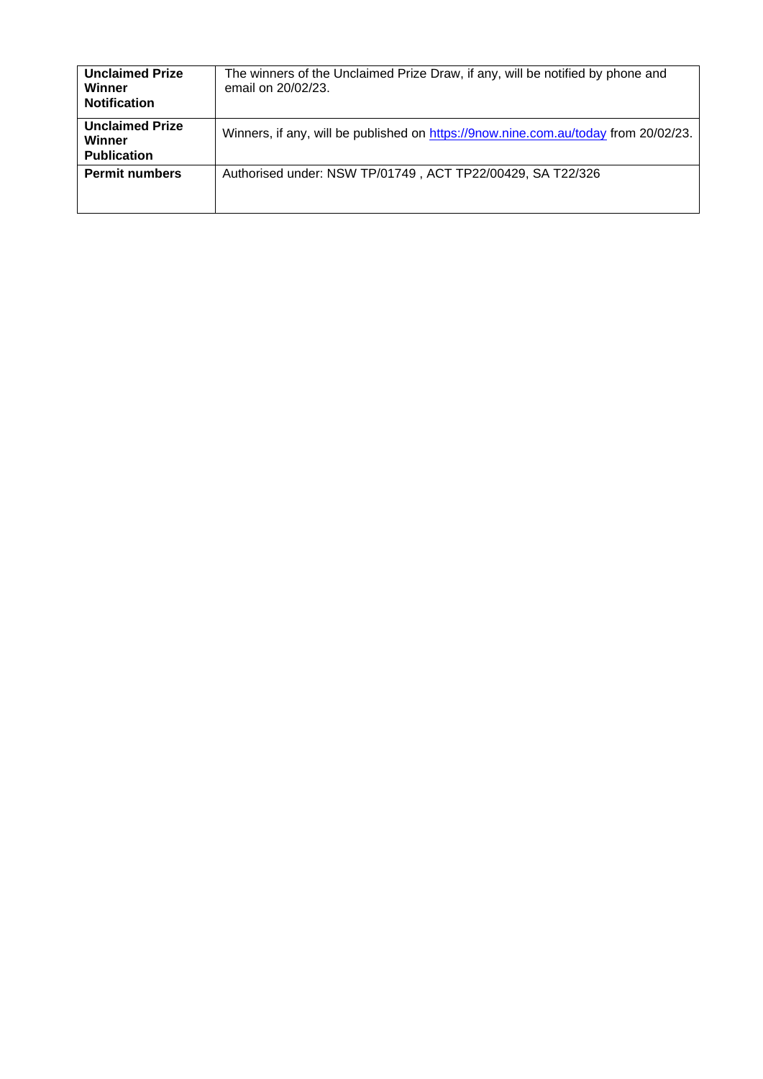| <b>Unclaimed Prize</b><br>Winner<br><b>Notification</b> | The winners of the Unclaimed Prize Draw, if any, will be notified by phone and<br>email on 20/02/23. |
|---------------------------------------------------------|------------------------------------------------------------------------------------------------------|
| <b>Unclaimed Prize</b><br>Winner<br><b>Publication</b>  | Winners, if any, will be published on https://9now.nine.com.au/today from 20/02/23.                  |
| <b>Permit numbers</b>                                   | Authorised under: NSW TP/01749, ACT TP22/00429, SA T22/326                                           |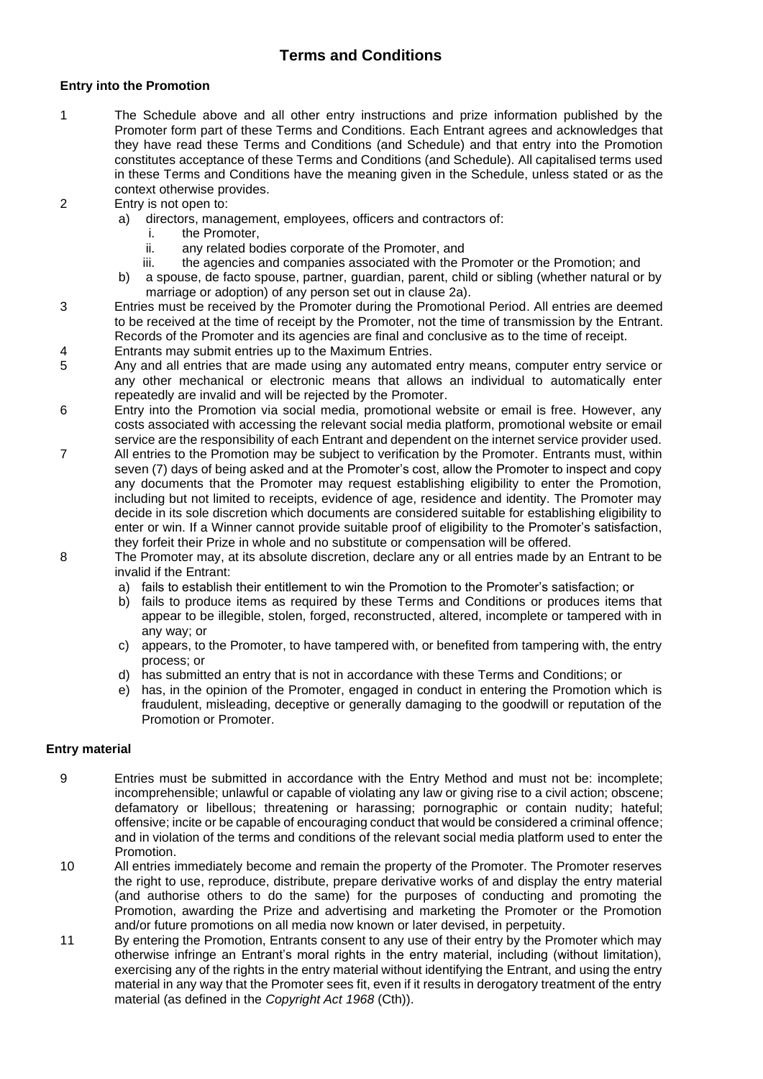### **Terms and Conditions**

#### **Entry into the Promotion**

- 1 The Schedule above and all other entry instructions and prize information published by the Promoter form part of these Terms and Conditions. Each Entrant agrees and acknowledges that they have read these Terms and Conditions (and Schedule) and that entry into the Promotion constitutes acceptance of these Terms and Conditions (and Schedule). All capitalised terms used in these Terms and Conditions have the meaning given in the Schedule, unless stated or as the context otherwise provides.
- 2 Entry is not open to:
	- a) directors, management, employees, officers and contractors of:
		- i. the Promoter,
		- ii. any related bodies corporate of the Promoter, and<br>iii. the agencies and companies associated with the P
		- the agencies and companies associated with the Promoter or the Promotion; and
	- b) a spouse, de facto spouse, partner, guardian, parent, child or sibling (whether natural or by marriage or adoption) of any person set out in clause 2a).
- 3 Entries must be received by the Promoter during the Promotional Period. All entries are deemed to be received at the time of receipt by the Promoter, not the time of transmission by the Entrant. Records of the Promoter and its agencies are final and conclusive as to the time of receipt.
- 4 Entrants may submit entries up to the Maximum Entries.
- 5 Any and all entries that are made using any automated entry means, computer entry service or any other mechanical or electronic means that allows an individual to automatically enter repeatedly are invalid and will be rejected by the Promoter.
- 6 Entry into the Promotion via social media, promotional website or email is free. However, any costs associated with accessing the relevant social media platform, promotional website or email service are the responsibility of each Entrant and dependent on the internet service provider used.
- 7 All entries to the Promotion may be subject to verification by the Promoter. Entrants must, within seven (7) days of being asked and at the Promoter's cost, allow the Promoter to inspect and copy any documents that the Promoter may request establishing eligibility to enter the Promotion, including but not limited to receipts, evidence of age, residence and identity. The Promoter may decide in its sole discretion which documents are considered suitable for establishing eligibility to enter or win. If a Winner cannot provide suitable proof of eligibility to the Promoter's satisfaction, they forfeit their Prize in whole and no substitute or compensation will be offered.
- 8 The Promoter may, at its absolute discretion, declare any or all entries made by an Entrant to be invalid if the Entrant:
	- a) fails to establish their entitlement to win the Promotion to the Promoter's satisfaction; or
	- b) fails to produce items as required by these Terms and Conditions or produces items that appear to be illegible, stolen, forged, reconstructed, altered, incomplete or tampered with in any way; or
	- c) appears, to the Promoter, to have tampered with, or benefited from tampering with, the entry process; or
	- d) has submitted an entry that is not in accordance with these Terms and Conditions; or
	- e) has, in the opinion of the Promoter, engaged in conduct in entering the Promotion which is fraudulent, misleading, deceptive or generally damaging to the goodwill or reputation of the Promotion or Promoter.

#### **Entry material**

- 9 Entries must be submitted in accordance with the Entry Method and must not be: incomplete; incomprehensible; unlawful or capable of violating any law or giving rise to a civil action; obscene; defamatory or libellous; threatening or harassing; pornographic or contain nudity; hateful; offensive; incite or be capable of encouraging conduct that would be considered a criminal offence; and in violation of the terms and conditions of the relevant social media platform used to enter the Promotion.
- 10 All entries immediately become and remain the property of the Promoter. The Promoter reserves the right to use, reproduce, distribute, prepare derivative works of and display the entry material (and authorise others to do the same) for the purposes of conducting and promoting the Promotion, awarding the Prize and advertising and marketing the Promoter or the Promotion and/or future promotions on all media now known or later devised, in perpetuity.
- 11 By entering the Promotion, Entrants consent to any use of their entry by the Promoter which may otherwise infringe an Entrant's moral rights in the entry material, including (without limitation), exercising any of the rights in the entry material without identifying the Entrant, and using the entry material in any way that the Promoter sees fit, even if it results in derogatory treatment of the entry material (as defined in the *Copyright Act 1968* (Cth)).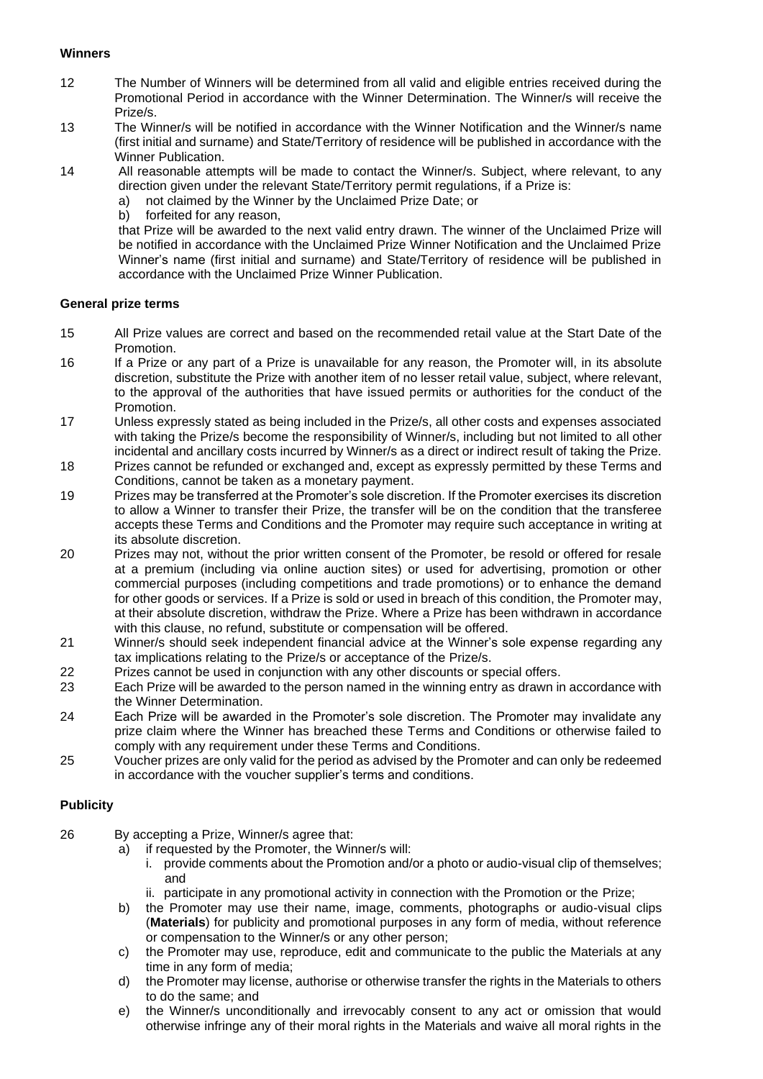#### **Winners**

- 12 The Number of Winners will be determined from all valid and eligible entries received during the Promotional Period in accordance with the Winner Determination. The Winner/s will receive the Prize/s.
- 13 The Winner/s will be notified in accordance with the Winner Notification and the Winner/s name (first initial and surname) and State/Territory of residence will be published in accordance with the Winner Publication.
- 14 All reasonable attempts will be made to contact the Winner/s. Subject, where relevant, to any direction given under the relevant State/Territory permit regulations, if a Prize is:
	- a) not claimed by the Winner by the Unclaimed Prize Date; or
	- b) forfeited for any reason,

that Prize will be awarded to the next valid entry drawn. The winner of the Unclaimed Prize will be notified in accordance with the Unclaimed Prize Winner Notification and the Unclaimed Prize Winner's name (first initial and surname) and State/Territory of residence will be published in accordance with the Unclaimed Prize Winner Publication.

#### **General prize terms**

- 15 All Prize values are correct and based on the recommended retail value at the Start Date of the Promotion.
- 16 If a Prize or any part of a Prize is unavailable for any reason, the Promoter will, in its absolute discretion, substitute the Prize with another item of no lesser retail value, subject, where relevant, to the approval of the authorities that have issued permits or authorities for the conduct of the Promotion.
- 17 Unless expressly stated as being included in the Prize/s, all other costs and expenses associated with taking the Prize/s become the responsibility of Winner/s, including but not limited to all other incidental and ancillary costs incurred by Winner/s as a direct or indirect result of taking the Prize.
- 18 Prizes cannot be refunded or exchanged and, except as expressly permitted by these Terms and Conditions, cannot be taken as a monetary payment.
- 19 Prizes may be transferred at the Promoter's sole discretion. If the Promoter exercises its discretion to allow a Winner to transfer their Prize, the transfer will be on the condition that the transferee accepts these Terms and Conditions and the Promoter may require such acceptance in writing at its absolute discretion.
- 20 Prizes may not, without the prior written consent of the Promoter, be resold or offered for resale at a premium (including via online auction sites) or used for advertising, promotion or other commercial purposes (including competitions and trade promotions) or to enhance the demand for other goods or services. If a Prize is sold or used in breach of this condition, the Promoter may, at their absolute discretion, withdraw the Prize. Where a Prize has been withdrawn in accordance with this clause, no refund, substitute or compensation will be offered.
- 21 Winner/s should seek independent financial advice at the Winner's sole expense regarding any tax implications relating to the Prize/s or acceptance of the Prize/s.
- 22 Prizes cannot be used in conjunction with any other discounts or special offers.
- 23 Each Prize will be awarded to the person named in the winning entry as drawn in accordance with the Winner Determination.
- 24 Each Prize will be awarded in the Promoter's sole discretion. The Promoter may invalidate any prize claim where the Winner has breached these Terms and Conditions or otherwise failed to comply with any requirement under these Terms and Conditions.
- 25 Voucher prizes are only valid for the period as advised by the Promoter and can only be redeemed in accordance with the voucher supplier's terms and conditions.

#### **Publicity**

- 26 By accepting a Prize, Winner/s agree that:
	- a) if requested by the Promoter, the Winner/s will:
		- i. provide comments about the Promotion and/or a photo or audio-visual clip of themselves; and
		- ii. participate in any promotional activity in connection with the Promotion or the Prize;
	- b) the Promoter may use their name, image, comments, photographs or audio-visual clips (**Materials**) for publicity and promotional purposes in any form of media, without reference or compensation to the Winner/s or any other person;
	- c) the Promoter may use, reproduce, edit and communicate to the public the Materials at any time in any form of media;
	- d) the Promoter may license, authorise or otherwise transfer the rights in the Materials to others to do the same; and
	- e) the Winner/s unconditionally and irrevocably consent to any act or omission that would otherwise infringe any of their moral rights in the Materials and waive all moral rights in the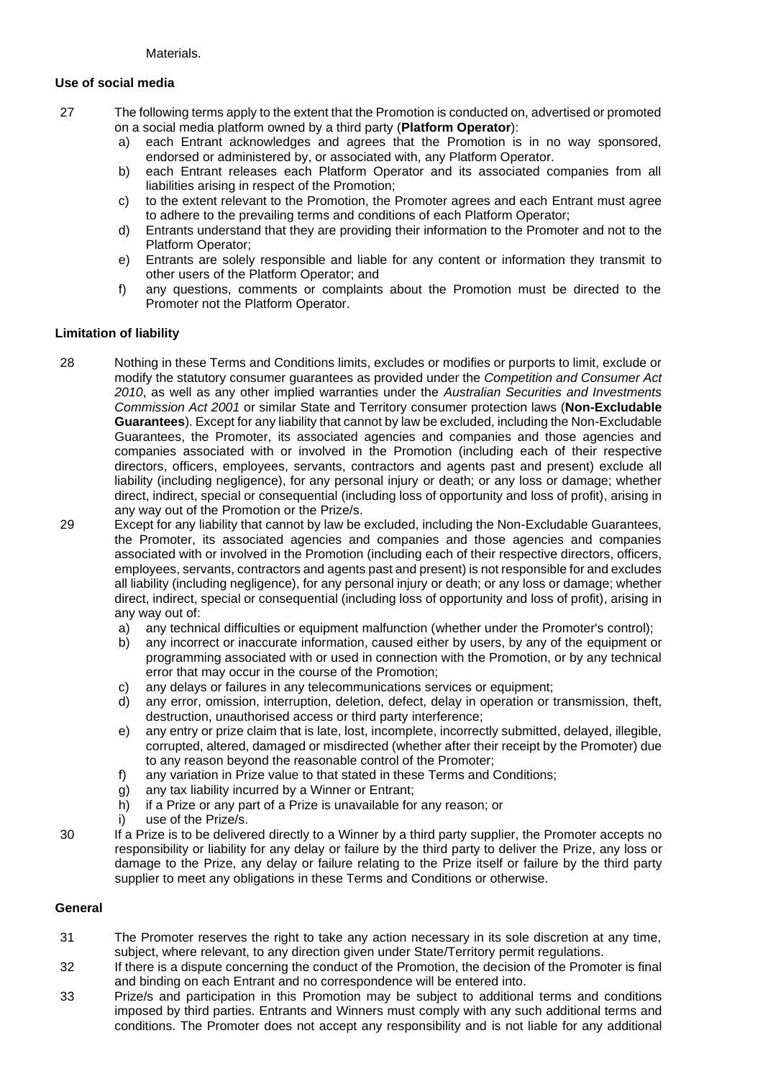#### **Use of social media**

- 27 The following terms apply to the extent that the Promotion is conducted on, advertised or promoted on a social media platform owned by a third party (**Platform Operator**):
	- a) each Entrant acknowledges and agrees that the Promotion is in no way sponsored, endorsed or administered by, or associated with, any Platform Operator.
	- b) each Entrant releases each Platform Operator and its associated companies from all liabilities arising in respect of the Promotion;
	- c) to the extent relevant to the Promotion, the Promoter agrees and each Entrant must agree to adhere to the prevailing terms and conditions of each Platform Operator;
	- d) Entrants understand that they are providing their information to the Promoter and not to the Platform Operator;
	- e) Entrants are solely responsible and liable for any content or information they transmit to other users of the Platform Operator; and
	- f) any questions, comments or complaints about the Promotion must be directed to the Promoter not the Platform Operator.

#### **Limitation of liability**

- 28 Nothing in these Terms and Conditions limits, excludes or modifies or purports to limit, exclude or modify the statutory consumer guarantees as provided under the *Competition and Consumer Act 2010*, as well as any other implied warranties under the *Australian Securities and Investments Commission Act 2001* or similar State and Territory consumer protection laws (**Non-Excludable Guarantees**). Except for any liability that cannot by law be excluded, including the Non-Excludable Guarantees, the Promoter, its associated agencies and companies and those agencies and companies associated with or involved in the Promotion (including each of their respective directors, officers, employees, servants, contractors and agents past and present) exclude all liability (including negligence), for any personal injury or death; or any loss or damage; whether direct, indirect, special or consequential (including loss of opportunity and loss of profit), arising in any way out of the Promotion or the Prize/s.
- 29 Except for any liability that cannot by law be excluded, including the Non-Excludable Guarantees, the Promoter, its associated agencies and companies and those agencies and companies associated with or involved in the Promotion (including each of their respective directors, officers, employees, servants, contractors and agents past and present) is not responsible for and excludes all liability (including negligence), for any personal injury or death; or any loss or damage; whether direct, indirect, special or consequential (including loss of opportunity and loss of profit), arising in any way out of:
	- a) any technical difficulties or equipment malfunction (whether under the Promoter's control);
	- b) any incorrect or inaccurate information, caused either by users, by any of the equipment or programming associated with or used in connection with the Promotion, or by any technical error that may occur in the course of the Promotion;
	- c) any delays or failures in any telecommunications services or equipment;
	- d) any error, omission, interruption, deletion, defect, delay in operation or transmission, theft, destruction, unauthorised access or third party interference;
	- e) any entry or prize claim that is late, lost, incomplete, incorrectly submitted, delayed, illegible, corrupted, altered, damaged or misdirected (whether after their receipt by the Promoter) due to any reason beyond the reasonable control of the Promoter;
	- f) any variation in Prize value to that stated in these Terms and Conditions;
	- g) any tax liability incurred by a Winner or Entrant;
	- h) if a Prize or any part of a Prize is unavailable for any reason; or
	- i) use of the Prize/s.
- 30 If a Prize is to be delivered directly to a Winner by a third party supplier, the Promoter accepts no responsibility or liability for any delay or failure by the third party to deliver the Prize, any loss or damage to the Prize, any delay or failure relating to the Prize itself or failure by the third party supplier to meet any obligations in these Terms and Conditions or otherwise.

#### **General**

- 31 The Promoter reserves the right to take any action necessary in its sole discretion at any time, subject, where relevant, to any direction given under State/Territory permit regulations.
- 32 If there is a dispute concerning the conduct of the Promotion, the decision of the Promoter is final and binding on each Entrant and no correspondence will be entered into.
- 33 Prize/s and participation in this Promotion may be subject to additional terms and conditions imposed by third parties. Entrants and Winners must comply with any such additional terms and conditions. The Promoter does not accept any responsibility and is not liable for any additional